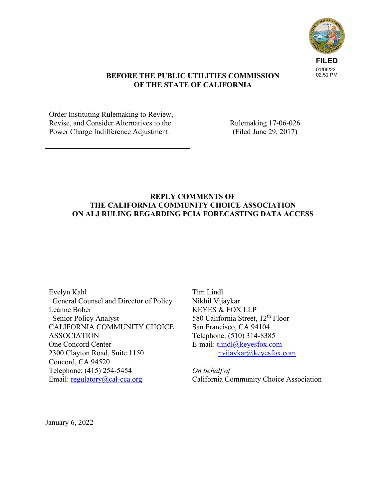

# **BEFORE THE PUBLIC UTILITIES COMMISSION OF THE STATE OF CALIFORNIA**

Order Instituting Rulemaking to Review, Revise, and Consider Alternatives to the Power Charge Indifference Adjustment.

Rulemaking 17-06-026 (Filed June 29, 2017)

#### **REPLY COMMENTS OF THE CALIFORNIA COMMUNITY CHOICE ASSOCIATION ON ALJ RULING REGARDING PCIA FORECASTING DATA ACCESS**

Evelyn Kahl General Counsel and Director of Policy Leanne Bober Senior Policy Analyst CALIFORNIA COMMUNITY CHOICE ASSOCIATION One Concord Center 2300 Clayton Road, Suite 1150 Concord, CA 94520 Telephone: (415) 254-5454 Email: regulatory@cal-cca.org

Tim Lindl Nikhil Vijaykar KEYES & FOX LLP 580 California Street, 12<sup>th</sup> Floor San Francisco, CA 94104 Telephone: (510) 314-8385 E-mail: tlindl@keyesfox.com nvijaykar@keyesfox.com

*On behalf of*  California Community Choice Association

January 6, 2022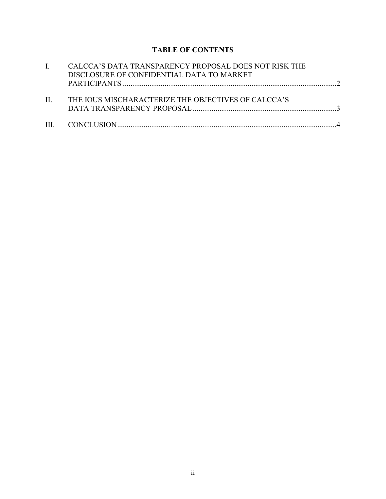# **TABLE OF CONTENTS**

|         | CALCCA'S DATA TRANSPARENCY PROPOSAL DOES NOT RISK THE<br>DISCLOSURE OF CONFIDENTIAL DATA TO MARKET |  |
|---------|----------------------------------------------------------------------------------------------------|--|
| $\Pi$ . | THE IQUS MISCHARACTERIZE THE OBJECTIVES OF CALCCA'S                                                |  |
|         |                                                                                                    |  |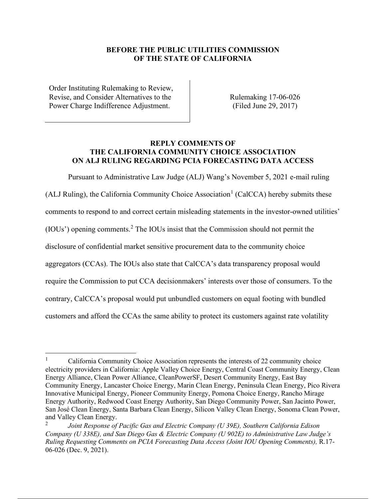# **BEFORE THE PUBLIC UTILITIES COMMISSION OF THE STATE OF CALIFORNIA**

Order Instituting Rulemaking to Review, Revise, and Consider Alternatives to the Power Charge Indifference Adjustment.

Rulemaking 17-06-026 (Filed June 29, 2017)

# **REPLY COMMENTS OF THE CALIFORNIA COMMUNITY CHOICE ASSOCIATION ON ALJ RULING REGARDING PCIA FORECASTING DATA ACCESS**

Pursuant to Administrative Law Judge (ALJ) Wang's November 5, 2021 e-mail ruling (ALJ Ruling), the California Community Choice Association<sup>1</sup> (CalCCA) hereby submits these comments to respond to and correct certain misleading statements in the investor-owned utilities' (IOUs') opening comments.<sup>2</sup> The IOUs insist that the Commission should not permit the disclosure of confidential market sensitive procurement data to the community choice aggregators (CCAs). The IOUs also state that CalCCA's data transparency proposal would require the Commission to put CCA decisionmakers' interests over those of consumers. To the contrary, CalCCA's proposal would put unbundled customers on equal footing with bundled customers and afford the CCAs the same ability to protect its customers against rate volatility

<sup>&</sup>lt;sup>1</sup> California Community Choice Association represents the interests of 22 community choice electricity providers in California: Apple Valley Choice Energy, Central Coast Community Energy, Clean Energy Alliance, Clean Power Alliance, CleanPowerSF, Desert Community Energy, East Bay Community Energy, Lancaster Choice Energy, Marin Clean Energy, Peninsula Clean Energy, Pico Rivera Innovative Municipal Energy, Pioneer Community Energy, Pomona Choice Energy, Rancho Mirage Energy Authority, Redwood Coast Energy Authority, San Diego Community Power, San Jacinto Power, San José Clean Energy, Santa Barbara Clean Energy, Silicon Valley Clean Energy, Sonoma Clean Power, and Valley Clean Energy.

<sup>2</sup>*Joint Response of Pacific Gas and Electric Company (U 39E), Southern California Edison Company (U 338E), and San Diego Gas & Electric Company (U 902E) to Administrative Law Judge's Ruling Requesting Comments on PCIA Forecasting Data Access (Joint IOU Opening Comments),* R.17- 06-026 (Dec. 9, 2021).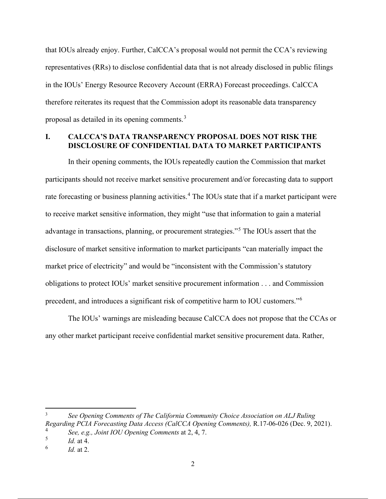that IOUs already enjoy. Further, CalCCA's proposal would not permit the CCA's reviewing representatives (RRs) to disclose confidential data that is not already disclosed in public filings in the IOUs' Energy Resource Recovery Account (ERRA) Forecast proceedings. CalCCA therefore reiterates its request that the Commission adopt its reasonable data transparency proposal as detailed in its opening comments.<sup>3</sup>

#### **I. CALCCA'S DATA TRANSPARENCY PROPOSAL DOES NOT RISK THE DISCLOSURE OF CONFIDENTIAL DATA TO MARKET PARTICIPANTS**

In their opening comments, the IOUs repeatedly caution the Commission that market participants should not receive market sensitive procurement and/or forecasting data to support rate forecasting or business planning activities.<sup>4</sup> The IOUs state that if a market participant were to receive market sensitive information, they might "use that information to gain a material advantage in transactions, planning, or procurement strategies."<sup>5</sup> The IOUs assert that the disclosure of market sensitive information to market participants "can materially impact the market price of electricity" and would be "inconsistent with the Commission's statutory obligations to protect IOUs' market sensitive procurement information . . . and Commission precedent, and introduces a significant risk of competitive harm to IOU customers."<sup>6</sup>

The IOUs' warnings are misleading because CalCCA does not propose that the CCAs or any other market participant receive confidential market sensitive procurement data. Rather,

3 *See Opening Comments of The California Community Choice Association on ALJ Ruling Regarding PCIA Forecasting Data Access (CalCCA Opening Comments),* R.17-06-026 (Dec. 9, 2021). 4 *See, e.g., Joint IOU Opening Comments* at 2, 4, 7.

<sup>5</sup> *Id.* at 4.

<sup>6</sup> *Id.* at 2.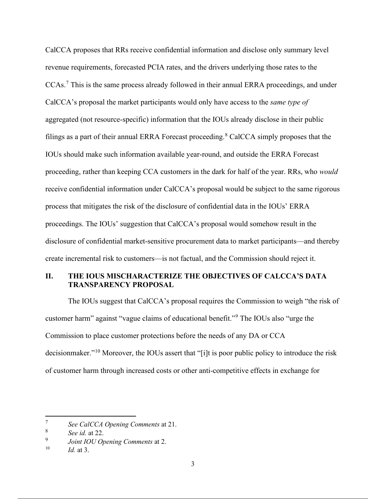CalCCA proposes that RRs receive confidential information and disclose only summary level revenue requirements, forecasted PCIA rates, and the drivers underlying those rates to the CCAs.<sup>7</sup> This is the same process already followed in their annual ERRA proceedings, and under CalCCA's proposal the market participants would only have access to the *same type of*  aggregated (not resource-specific) information that the IOUs already disclose in their public filings as a part of their annual ERRA Forecast proceeding.<sup>8</sup> CalCCA simply proposes that the IOUs should make such information available year-round, and outside the ERRA Forecast proceeding, rather than keeping CCA customers in the dark for half of the year. RRs, who *would*  receive confidential information under CalCCA's proposal would be subject to the same rigorous process that mitigates the risk of the disclosure of confidential data in the IOUs' ERRA proceedings. The IOUs' suggestion that CalCCA's proposal would somehow result in the disclosure of confidential market-sensitive procurement data to market participants—and thereby create incremental risk to customers—is not factual, and the Commission should reject it.

# **II. THE IOUS MISCHARACTERIZE THE OBJECTIVES OF CALCCA'S DATA TRANSPARENCY PROPOSAL**

The IOUs suggest that CalCCA's proposal requires the Commission to weigh "the risk of customer harm" against "vague claims of educational benefit."<sup>9</sup> The IOUs also "urge the Commission to place customer protections before the needs of any DA or CCA decisionmaker."10 Moreover, the IOUs assert that "[i]t is poor public policy to introduce the risk of customer harm through increased costs or other anti-competitive effects in exchange for

<sup>7</sup> *See CalCCA Opening Comments* at 21.

<sup>8</sup> *See id.* at 22.

<sup>9</sup> *Joint IOU Opening Comments* at 2.

*Id.* at 3.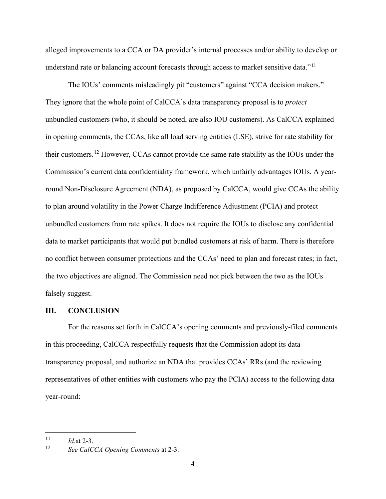alleged improvements to a CCA or DA provider's internal processes and/or ability to develop or understand rate or balancing account forecasts through access to market sensitive data."<sup>11</sup>

The IOUs' comments misleadingly pit "customers" against "CCA decision makers." They ignore that the whole point of CalCCA's data transparency proposal is to *protect*  unbundled customers (who, it should be noted, are also IOU customers). As CalCCA explained in opening comments, the CCAs, like all load serving entities (LSE), strive for rate stability for their customers.<sup>12</sup> However, CCAs cannot provide the same rate stability as the IOUs under the Commission's current data confidentiality framework, which unfairly advantages IOUs. A yearround Non-Disclosure Agreement (NDA), as proposed by CalCCA, would give CCAs the ability to plan around volatility in the Power Charge Indifference Adjustment (PCIA) and protect unbundled customers from rate spikes. It does not require the IOUs to disclose any confidential data to market participants that would put bundled customers at risk of harm. There is therefore no conflict between consumer protections and the CCAs' need to plan and forecast rates; in fact, the two objectives are aligned. The Commission need not pick between the two as the IOUs falsely suggest.

#### **III. CONCLUSION**

For the reasons set forth in CalCCA's opening comments and previously-filed comments in this proceeding, CalCCA respectfully requests that the Commission adopt its data transparency proposal, and authorize an NDA that provides CCAs' RRs (and the reviewing representatives of other entities with customers who pay the PCIA) access to the following data year-round:

 $\frac{11}{12}$  *Id.*at 2-3.

<sup>12</sup> *See CalCCA Opening Comments* at 2-3.